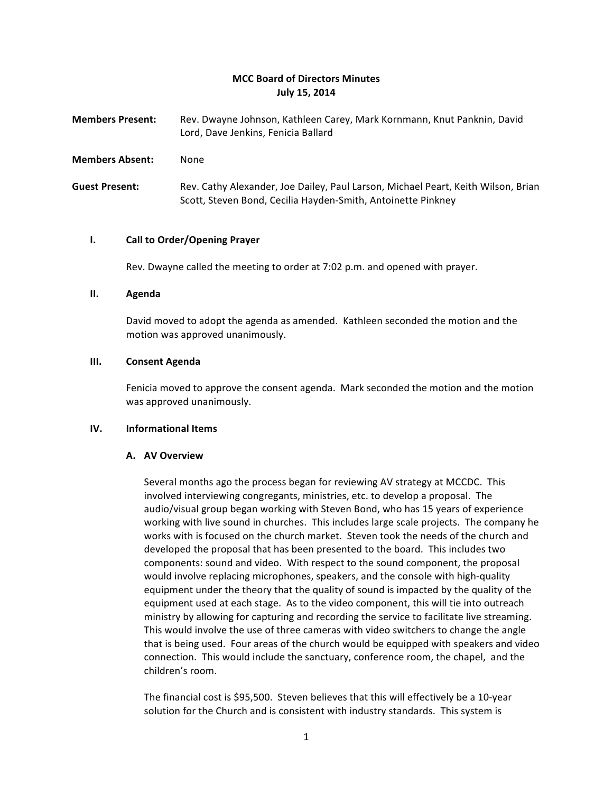# **MCC Board of Directors Minutes July 15, 2014**

| <b>Members Present:</b> | Rev. Dwayne Johnson, Kathleen Carey, Mark Kornmann, Knut Panknin, David |
|-------------------------|-------------------------------------------------------------------------|
|                         | Lord, Dave Jenkins, Fenicia Ballard                                     |

**Members Absent:** None

Guest Present: Rev. Cathy Alexander, Joe Dailey, Paul Larson, Michael Peart, Keith Wilson, Brian Scott, Steven Bond, Cecilia Hayden-Smith, Antoinette Pinkney

### **I.** Call to Order/Opening Prayer

Rev. Dwayne called the meeting to order at 7:02 p.m. and opened with prayer.

### **II. Agenda**

David moved to adopt the agenda as amended. Kathleen seconded the motion and the motion was approved unanimously.

### **III. Consent Agenda**

Fenicia moved to approve the consent agenda. Mark seconded the motion and the motion was approved unanimously.

### **IV. Informational Items**

### **A. AV Overview**

Several months ago the process began for reviewing AV strategy at MCCDC. This involved interviewing congregants, ministries, etc. to develop a proposal. The audio/visual group began working with Steven Bond, who has 15 years of experience working with live sound in churches. This includes large scale projects. The company he works with is focused on the church market. Steven took the needs of the church and developed the proposal that has been presented to the board. This includes two components: sound and video. With respect to the sound component, the proposal would involve replacing microphones, speakers, and the console with high-quality equipment under the theory that the quality of sound is impacted by the quality of the equipment used at each stage. As to the video component, this will tie into outreach ministry by allowing for capturing and recording the service to facilitate live streaming. This would involve the use of three cameras with video switchers to change the angle that is being used. Four areas of the church would be equipped with speakers and video connection. This would include the sanctuary, conference room, the chapel, and the children's room.

The financial cost is \$95,500. Steven believes that this will effectively be a 10-year solution for the Church and is consistent with industry standards. This system is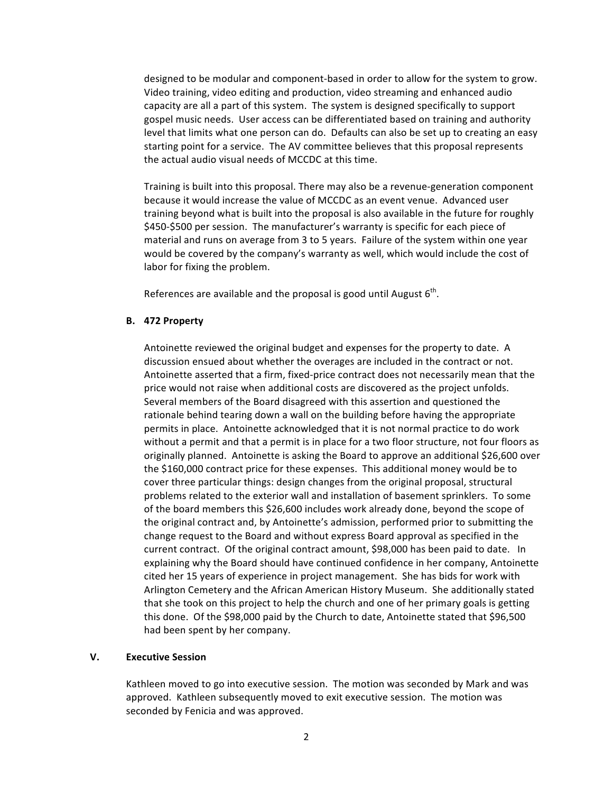designed to be modular and component-based in order to allow for the system to grow. Video training, video editing and production, video streaming and enhanced audio capacity are all a part of this system. The system is designed specifically to support gospel music needs. User access can be differentiated based on training and authority level that limits what one person can do. Defaults can also be set up to creating an easy starting point for a service. The AV committee believes that this proposal represents the actual audio visual needs of MCCDC at this time.

Training is built into this proposal. There may also be a revenue-generation component because it would increase the value of MCCDC as an event venue. Advanced user training beyond what is built into the proposal is also available in the future for roughly \$450-\$500 per session. The manufacturer's warranty is specific for each piece of material and runs on average from 3 to 5 years. Failure of the system within one year would be covered by the company's warranty as well, which would include the cost of labor for fixing the problem.

References are available and the proposal is good until August  $6<sup>th</sup>$ .

## **B. 472 Property**

Antoinette reviewed the original budget and expenses for the property to date. A discussion ensued about whether the overages are included in the contract or not. Antoinette asserted that a firm, fixed-price contract does not necessarily mean that the price would not raise when additional costs are discovered as the project unfolds. Several members of the Board disagreed with this assertion and questioned the rationale behind tearing down a wall on the building before having the appropriate permits in place. Antoinette acknowledged that it is not normal practice to do work without a permit and that a permit is in place for a two floor structure, not four floors as originally planned. Antoinette is asking the Board to approve an additional \$26,600 over the \$160,000 contract price for these expenses. This additional money would be to cover three particular things: design changes from the original proposal, structural problems related to the exterior wall and installation of basement sprinklers. To some of the board members this \$26,600 includes work already done, beyond the scope of the original contract and, by Antoinette's admission, performed prior to submitting the change request to the Board and without express Board approval as specified in the current contract. Of the original contract amount, \$98,000 has been paid to date. In explaining why the Board should have continued confidence in her company, Antoinette cited her 15 years of experience in project management. She has bids for work with Arlington Cemetery and the African American History Museum. She additionally stated that she took on this project to help the church and one of her primary goals is getting this done. Of the \$98,000 paid by the Church to date, Antoinette stated that \$96,500 had been spent by her company.

## **V. Executive Session**

Kathleen moved to go into executive session. The motion was seconded by Mark and was approved. Kathleen subsequently moved to exit executive session. The motion was seconded by Fenicia and was approved.